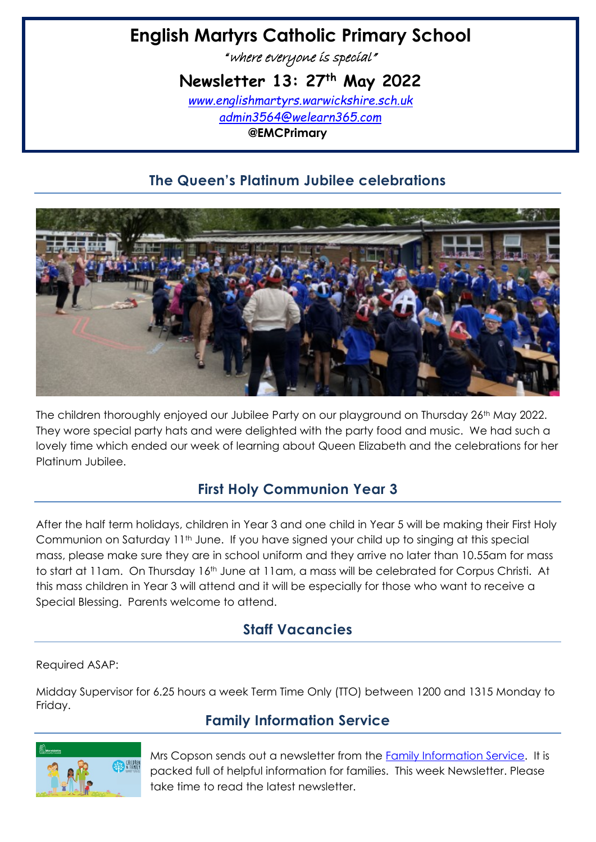# **English Martyrs Catholic Primary School**

"where everyone is special"

**Newsletter 13: 27th May 2022**

*[www.englishmartyrs.warwickshire.sch.uk](http://www.englishmartyrs.warwickshire.sch.uk/) [admin3564@welearn365.com](mailto:admin3564@welearn365.com)* **@EMCPrimary**

# **The Queen's Platinum Jubilee celebrations**



The children thoroughly enjoyed our Jubilee Party on our playground on Thursday 26<sup>th</sup> May 2022. They wore special party hats and were delighted with the party food and music. We had such a lovely time which ended our week of learning about Queen Elizabeth and the celebrations for her Platinum Jubilee.

# **First Holy Communion Year 3**

After the half term holidays, children in Year 3 and one child in Year 5 will be making their First Holy Communion on Saturday 11<sup>th</sup> June. If you have signed your child up to singing at this special mass, please make sure they are in school uniform and they arrive no later than 10.55am for mass to start at 11am. On Thursday 16th June at 11am, a mass will be celebrated for Corpus Christi. At this mass children in Year 3 will attend and it will be especially for those who want to receive a Special Blessing. Parents welcome to attend.

# **Staff Vacancies**

Required ASAP:

Midday Supervisor for 6.25 hours a week Term Time Only (TTO) between 1200 and 1315 Monday to Friday.

# **Family Information Service**



Mrs Copson sends out a newsletter from the [Family Information Service.](https://www.warwickshire.gov.uk/children-families) It is packed full of helpful information for families. This week Newsletter. Please take time to read the latest newsletter.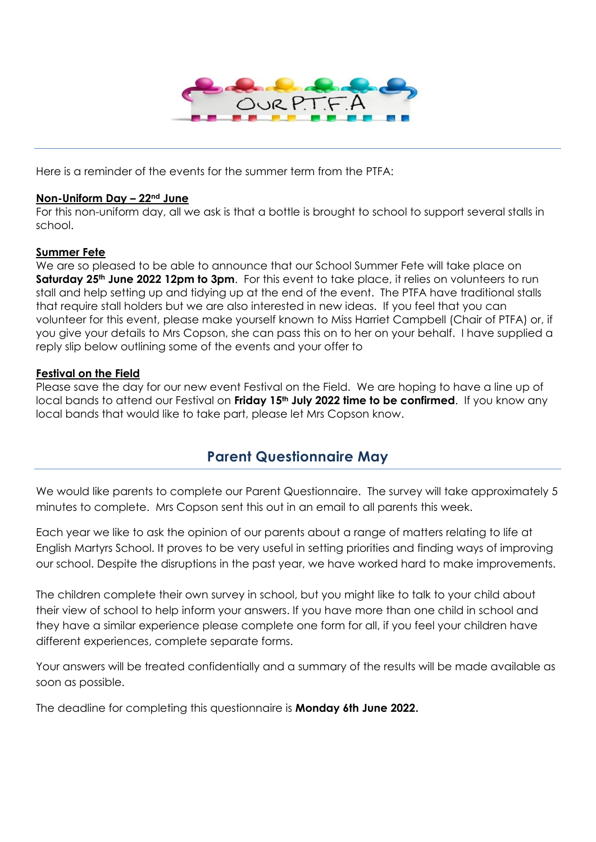

Here is a reminder of the events for the summer term from the PTFA:

### **Non-Uniform Day – 22nd June**

For this non-uniform day, all we ask is that a bottle is brought to school to support several stalls in school.

### **Summer Fete**

We are so pleased to be able to announce that our School Summer Fete will take place on **Saturday 25th June 2022 12pm to 3pm**. For this event to take place, it relies on volunteers to run stall and help setting up and tidying up at the end of the event. The PTFA have traditional stalls that require stall holders but we are also interested in new ideas. If you feel that you can volunteer for this event, please make yourself known to Miss Harriet Campbell (Chair of PTFA) or, if you give your details to Mrs Copson, she can pass this on to her on your behalf. I have supplied a reply slip below outlining some of the events and your offer to

### **Festival on the Field**

Please save the day for our new event Festival on the Field. We are hoping to have a line up of local bands to attend our Festival on **Friday 15th July 2022 time to be confirmed**. If you know any local bands that would like to take part, please let Mrs Copson know.

# **Parent Questionnaire May**

We would like parents to complete our Parent Questionnaire. The survey will take approximately 5 minutes to complete. Mrs Copson sent this out in an email to all parents this week.

Each year we like to ask the opinion of our parents about a range of matters relating to life at English Martyrs School. It proves to be very useful in setting priorities and finding ways of improving our school. Despite the disruptions in the past year, we have worked hard to make improvements.

The children complete their own survey in school, but you might like to talk to your child about their view of school to help inform your answers. If you have more than one child in school and they have a similar experience please complete one form for all, if you feel your children have different experiences, complete separate forms.

Your answers will be treated confidentially and a summary of the results will be made available as soon as possible.

The deadline for completing this questionnaire is **Monday 6th June 2022.**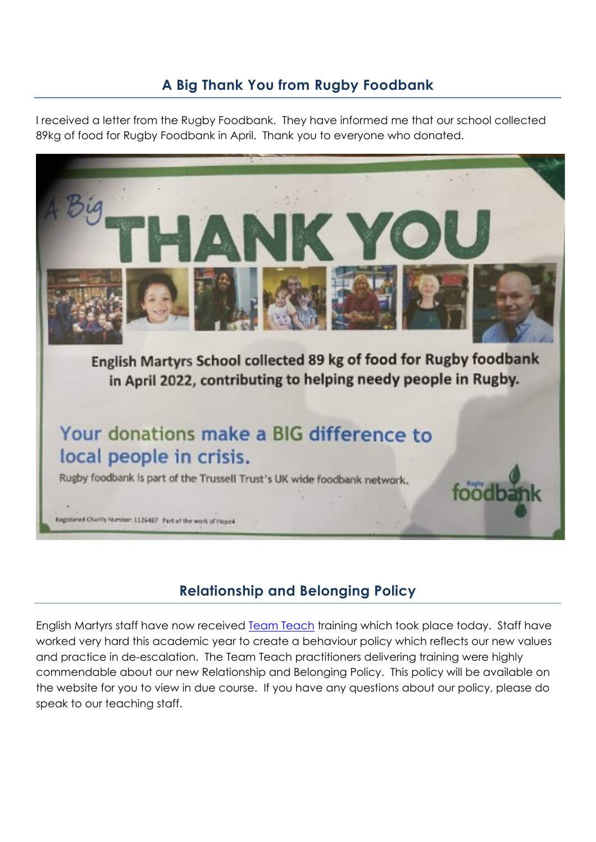# **A Big Thank You from Rugby Foodbank**

I received a letter from the Rugby Foodbank. They have informed me that our school collected 89kg of food for Rugby Foodbank in April. Thank you to everyone who donated.



# **Relationship and Belonging Policy**

English Martyrs staff have now received [Team Teach](https://www.teamteach.co.uk/) training which took place today. Staff have worked very hard this academic year to create a behaviour policy which reflects our new values and practice in de-escalation. The Team Teach practitioners delivering training were highly commendable about our new Relationship and Belonging Policy. This policy will be available on the website for you to view in due course. If you have any questions about our policy, please do speak to our teaching staff.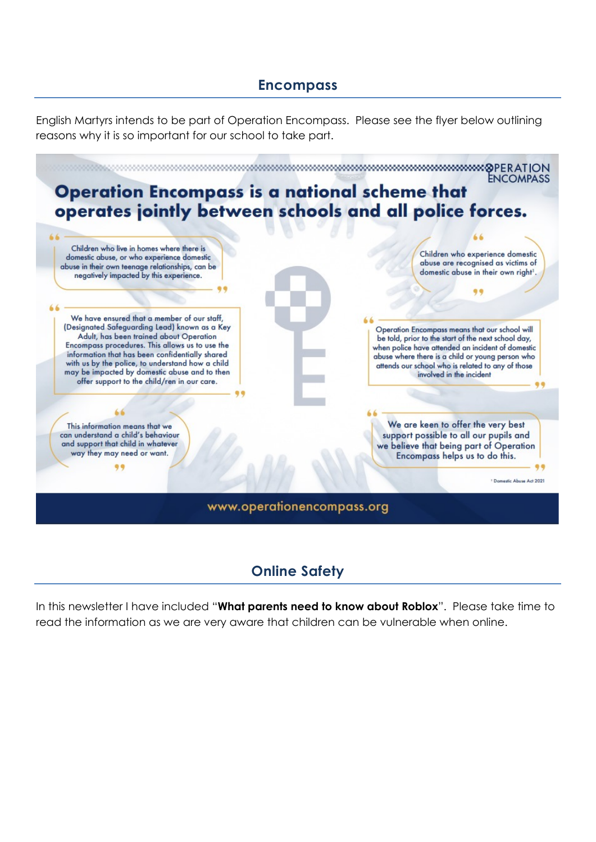# **Encompass**

English Martyrs intends to be part of Operation Encompass. Please see the flyer below outlining reasons why it is so important for our school to take part.



# **Online Safety**

In this newsletter I have included "**What parents need to know about Roblox**". Please take time to read the information as we are very aware that children can be vulnerable when online.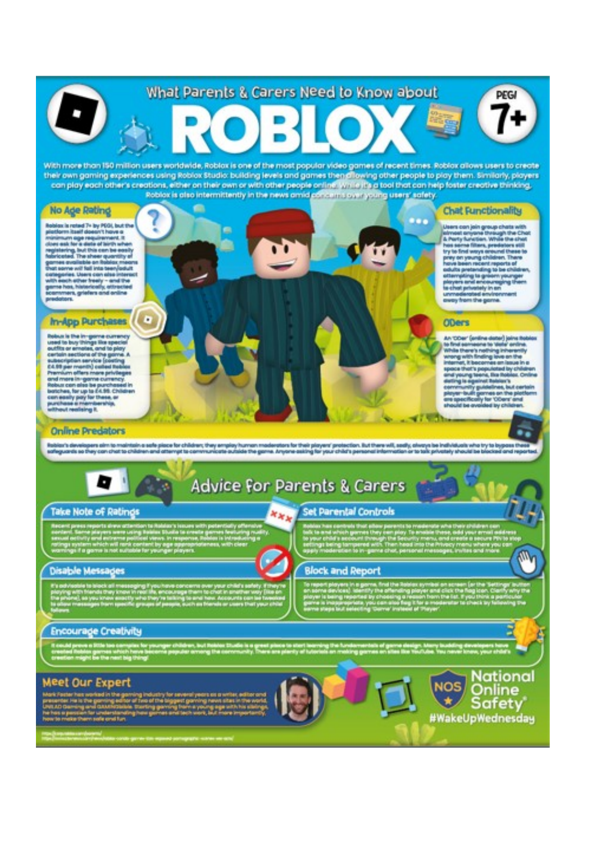# What Parents & Carers Need to Know about

With more than 150 million users worldwide, Roblax is one of the most popular video games of recent times. Roblax allows users to create their own gaming experiences using Roblox Studio: building levels and games then allowing other people to play them. Similarly, players con play each other's creations, either on their own or with other people online www.in it's a tool that can help foster creative thinking.<br>Roblox is also intermittently in the news amid of horizon's overyoing users' safet

e

### **No Age Rating**

olox in roted 7+ by PEOI, but the<br>dorm itself doesn't hours a<br>timum ope requirement. It<br>rs est. for a dote of birth when ons mak for in distinct latin's when<br>girlstofeg, but this can be confly<br>directed. The sheet quantity of<br>directed. The sheet quantity of<br>an outlieble can be all interests of<br>all species. Were can also interest<br>the source, g

### In-App Purchases

Defines in the for-grave currency<br>vanish is buy things like uponized currency<br>currency was arrested and to play<br>and to buy things like uponized<br>and the particular process of the play<br>of the particular contract in particul

### **Online Predators**

tion's developers aim to maintains safe piece for children; they employ human moderators for their prigram protection. But there will, seeky, always be individuals who try to byp.<br>leguards so they can chat to children and



# **Advice For Parents & Carers**

**NMK** 

### **Take Note of Ratings**

### **Disable Messages**

### **Encourage Creativity**

### **Meet Our Expert**



### Set Parental Controls

### **Block and Report**



**Chat Functionality** 

**PEG** 

Uners can join group chats with<br>alread surpose through the Chut, all fields with a superior through the Chut,<br>but sures filters, produces with the Linds<br>by to first energy counter Chuts to<br>but sures filters, produces that<br>

### **ODers**

Oo e

An 'O'Der' (entire deba') laire the to first servicered to victor orde<br>While there's nething inherent<br>whong with finding love on the<br>internet, it becomes an issue i us on the in an Issue in a sion that's point. But you<br>refrige to gain the business of point.<br>any more point from but your<br>player to do point on the plat<br>player to do private to the plat<br>player to do private to the plate special theorie perpeticient by childs **COLLECTION**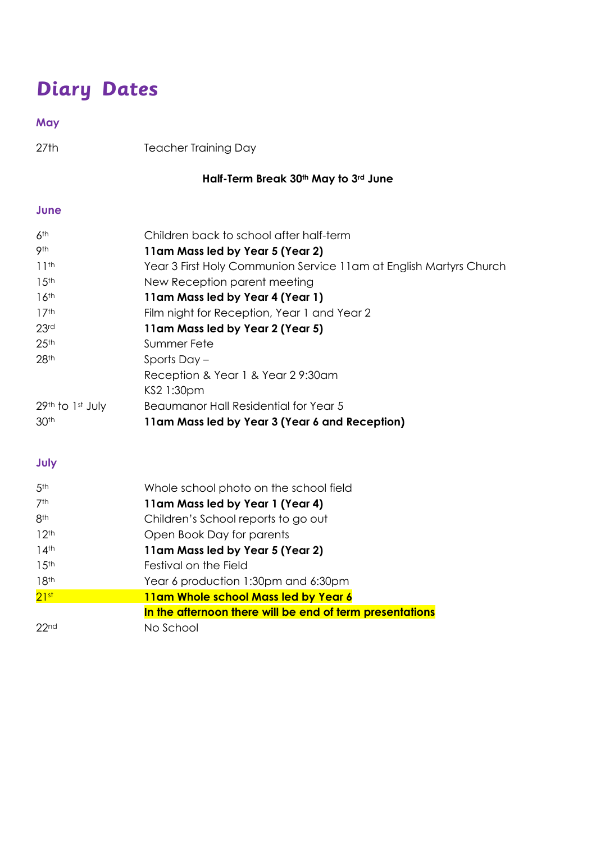# **Diary Dates**

## **May**

27th Teacher Training Day

# **Half-Term Break 30th May to 3rd June**

### **June**

| 6 <sup>th</sup>    | Children back to school after half-term                            |
|--------------------|--------------------------------------------------------------------|
| 9th                | 11am Mass led by Year 5 (Year 2)                                   |
| 11 <sup>th</sup>   | Year 3 First Holy Communion Service 11am at English Martyrs Church |
| 15 <sup>th</sup>   | New Reception parent meeting                                       |
| 16 <sup>th</sup>   | 11am Mass led by Year 4 (Year 1)                                   |
| 17 <sup>th</sup>   | Film night for Reception, Year 1 and Year 2                        |
| 23 <sup>rd</sup>   | 11am Mass led by Year 2 (Year 5)                                   |
| 25 <sup>th</sup>   | Summer Fete                                                        |
| 28 <sup>th</sup>   | Sports Day –                                                       |
|                    | Reception & Year 1 & Year 29:30am                                  |
|                    | KS2 1:30pm                                                         |
| $29th$ to 1st July | Beaumanor Hall Residential for Year 5                              |
| 30 <sup>th</sup>   | 11am Mass led by Year 3 (Year 6 and Reception)                     |

## **July**

| 5 <sup>th</sup>    | Whole school photo on the school field                   |
|--------------------|----------------------------------------------------------|
| 7th                | 11am Mass led by Year 1 (Year 4)                         |
| 8 <sup>th</sup>    | Children's School reports to go out                      |
| 12 <sup>th</sup>   | Open Book Day for parents                                |
| $14$ <sup>th</sup> | 11am Mass led by Year 5 (Year 2)                         |
| 15 <sup>th</sup>   | Festival on the Field                                    |
| 18 <sup>th</sup>   | Year 6 production 1:30pm and 6:30pm                      |
| 21st               | 11am Whole school Mass led by Year 6                     |
|                    | In the afternoon there will be end of term presentations |
| 22 <sub>nd</sub>   | No School                                                |